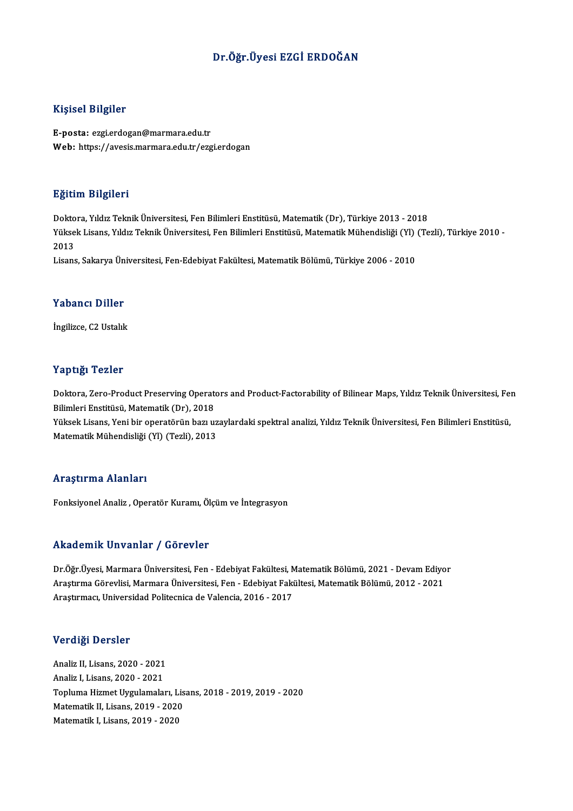# Dr.Öğr.Üyesi EZGİ ERDOĞAN

## Kişisel Bilgiler

E-posta: ezgi.erdogan@marmara.edu.tr Web: https://avesis.marmara.edu.tr/ezgi.erdogan

## Eğitim Bilgileri

<mark>Eğitim Bilgileri</mark><br>Doktora, Yıldız Teknik Üniversitesi, Fen Bilimleri Enstitüsü, Matematik (Dr), Türkiye 2013 - 2018<br>Yüksek Lisans Yıldız Teknik Üniversitesi, Fen Bilimleri Enstitüsü, Matematik Mühandisliği (VI) (Te Yüksek Lisans, Yıldız Teknik Üniversitesi, Fen Bilimleri Enstitüsü, Matematik Mühendisliği (Yl) (Tezli), Türkiye 2010 -<br>2013 Dokto<br>Yükse<br>2013

Lisans, Sakarya Üniversitesi, Fen-Edebiyat Fakültesi, Matematik Bölümü, Türkiye 2006 - 2010

## Yabancı Diller

İngilizce, C2 Ustalık

## Yaptığı Tezler

Yaptığı Tezler<br>Doktora, Zero-Product Preserving Operators and Product-Factorability of Bilinear Maps, Yıldız Teknik Üniversitesi, Fen<br>Bilimleri Enstitüsü, Matematik (Dr), 2019 1 ap 1925<br>Doktora, Zero-Product Preserving Operate<br>Bilimleri Enstitüsü, Matematik (Dr), 2018<br>Vülgek Lisans, Veni bir operatörün begu Doktora, Zero-Product Preserving Operators and Product-Factorability of Bilinear Maps, Yıldız Teknik Üniversitesi, Fen<br>Bilimleri Enstitüsü, Matematik (Dr), 2018<br>Yüksek Lisans, Yeni bir operatörün bazı uzaylardaki spektral

Bilimleri Enstitüsü, Matematik (Dr), 2018<br>Yüksek Lisans, Yeni bir operatörün bazı uzaylardaki spektral analizi, Yıldız Teknik Üniversitesi, Fen Bilimleri Enstitüsü,<br>Matematik Mühendisliği (Yl) (Tezli), 2013

### Araştırma Alanları

Fonksiyonel Analiz, Operatör Kuramı, Ölçüm ve İntegrasyon

## Akademik Unvanlar / Görevler

Akademik Unvanlar / Görevler<br>Dr.Öğr.Üyesi, Marmara Üniversitesi, Fen - Edebiyat Fakültesi, Matematik Bölümü, 2021 - Devam Ediyor<br>Arastırma Cörevlisi, Marmara Üniversitesi, Fen - Edebiyat Fakültesi, Matematik Bölümü, 2012, Arastırma Görevlinisi 7 "dövlevler"<br>Dr.Öğr.Üyesi, Marmara Üniversitesi, Fen - Edebiyat Fakültesi, Matematik Bölümü, 2021 - Devam Ediyo<br>Araştırmacı, Universidad Politesnisa de Valensia, 2016 - 2017 Dr.Öğr.Üyesi, Marmara Üniversitesi, Fen - Edebiyat Fakültesi, N<br>Araştırma Görevlisi, Marmara Üniversitesi, Fen - Edebiyat Faki<br>Araştırmacı, Universidad Politecnica de Valencia, 2016 - 2017 Araştırmacı, Universidad Politecnica de Valencia, 2016 - 2017<br>Verdiği Dersler

Analiz II, Lisans, 2020 - 2021 Analiz I,Lisans,2020 -2021 Analiz II, Lisans, 2020 - 2021<br>Analiz I, Lisans, 2020 - 2021<br>Topluma Hizmet Uygulamaları, Lisans, 2018 - 2019, 2019 - 2020<br>Matamatik II, Lisans, 2019, ...2020 Analiz I, Lisans, 2020 - 2021<br>Topluma Hizmet Uygulamaları, Lis<br>Matematik II, Lisans, 2019 - 2020<br>Matematik I, Lisans, 2019 - 2020 Matematik II, Lisans, 2019 - 2020<br>Matematik I, Lisans, 2019 - 2020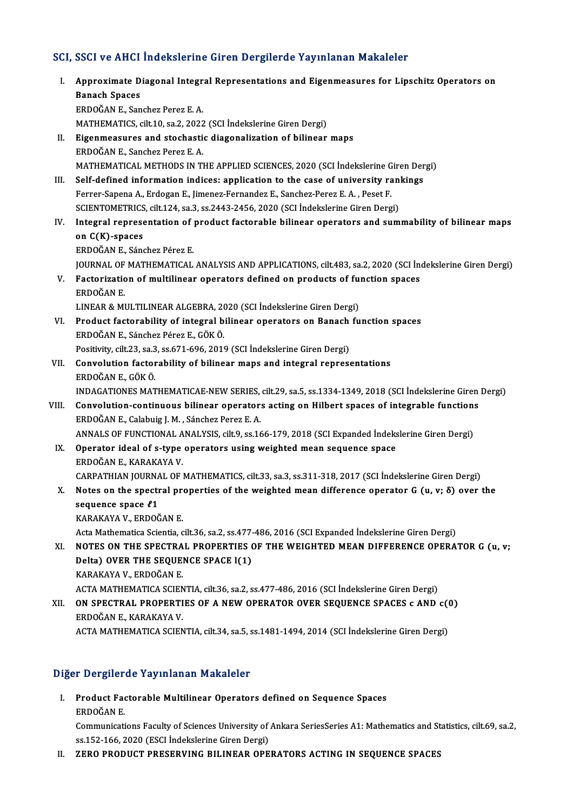# SCI, SSCI ve AHCI İndekslerine Giren Dergilerde Yayınlanan Makaleler

CI, SSCI ve AHCI İndekslerine Giren Dergilerde Yayınlanan Makaleler<br>I. Approximate Diagonal Integral Representations and Eigenmeasures for Lipschitz Operators on<br>Ranach Spages Baar ve rivar<br>Approximate D<br>Banach Spaces<br>EPDOČAN E. Son Banach Spaces<br>ERDOĞAN E., Sanchez Perez E. A. MATHEMATICS, cilt.10, sa.2, 2022 (SCI İndekslerine Giren Dergi) ERDOĞAN E., Sanchez Perez E. A.<br>MATHEMATICS, cilt.10, sa.2, 2022 (SCI İndekslerine Giren Dergi)<br>II. Eigenmeasures and stochastic diagonalization of bilinear maps<br>ERDOĞAN E. Sanchez Penez E. A. MATHEMATICS, cilt.10, sa.2, 2022<br>Eigenmeasures and stochasti<br>ERDOĞAN E., Sanchez Perez E. A.<br>MATHEMATICAL METHODS IN TI ERDOĞAN E., Sanchez Perez E. A.<br>MATHEMATICAL METHODS IN THE APPLIED SCIENCES, 2020 (SCI İndekslerine Giren Dergi) III. Self-defined information indices: application to the case of university rankings MATHEMATICAL METHODS IN THE APPLIED SCIENCES, 2020 (SCI indekslerine G<br>Self-defined information indices: application to the case of university rate<br>Ferrer-Sapena A., Erdogan E., Jimenez-Fernandez E., Sanchez-Perez E.A. , P Self-defined information indices: application to the case of university raniff and the extended the case of university raniff errer-Sapena A., Erdogan E., Jimenez-Fernandez E., Sanchez-Perez E. A. , Peset F.<br>SCIENTOMETRICS Ferrer-Sapena A., Erdogan E., Jimenez-Fernandez E., Sanchez-Perez E. A. , Peset F.<br>SCIENTOMETRICS, cilt.124, sa.3, ss.2443-2456, 2020 (SCI İndekslerine Giren Dergi)<br>IV. Integral representation of product factorable bilinea SCIENTOMETRICS, cilt.124, sa.3, ss.2443-2456, 2020 (SCI Indekslerine Giren Dergi)<br>Integral representation of product factorable bilinear operators and sum<br>on C(K)-spaces<br>ERDOĞAN E., Sánchez Pérez E. Integral representation of<br>on C(K)-spaces<br>ERDOĞAN E., Sánchez Pérez E.<br>JOUPMAL OE MATHEMATICAL JOURNAL OF MATHEMATICAL ANALYSIS AND APPLICATIONS, cilt.483, sa.2, 2020 (SCI İndekslerine Giren Dergi) ERDOĞAN E., Sánchez Pérez E.<br>JOURNAL OF MATHEMATICAL ANALYSIS AND APPLICATIONS, cilt.483, sa.2, 2020 (SCI İne<br>V. Factorization of multilinear operators defined on products of function spaces<br>FRDOČAN E JOURNAL OF<br>Factorizatic<br>ERDOĞAN E.<br>LINEAR & MI Factorization of multilinear operators defined on products of fu<mark>lti</mark><br>ERDOĞAN E.<br>LINEAR & MULTILINEAR ALGEBRA, 2020 (SCI İndekslerine Giren Dergi)<br>Product factorability of integral bilinear operators on Bangeb fu ERDOĞAN E.<br>LINEAR & MULTILINEAR ALGEBRA, 2020 (SCI İndekslerine Giren Dergi)<br>VI. Product factorability of integral bilinear operators on Banach function spaces<br>EPDOČAN E. Sángber Párez E. CÖK Ö. LINEAR & MULTILINEAR ALGEBRA, 20<br>Product factorability of integral b<br>ERDOĞAN E., Sánchez Pérez E., GÖK Ö.<br>Positivity, silt 22, se 2, se 671, 606, 2011 Product factorability of integral bilinear operators on Banach<br>ERDOĞAN E., Sánchez Pérez E., GÖK Ö.<br>Positivity, cilt.23, sa.3, ss.671-696, 2019 (SCI İndekslerine Giren Dergi)<br>Convolution factorability of bilinear mans and ERDOĞAN E., Sánchez Pérez E., GÖK Ö.<br>Positivity, cilt.23, sa.3, ss.671-696, 2019 (SCI İndekslerine Giren Dergi)<br>VII. Convolution factorability of bilinear maps and integral representations<br>ERDOĞAN E. GÖK Ö. Positivity, cilt.23, sa.3<br>Convolution factor<br>ERDOĞAN E., GÖK Ö.<br>INDACATIONES MAT ERDOĞAN E., GÖK Ö.<br>INDAGATIONES MATHEMATICAE-NEW SERIES, cilt.29, sa.5, ss.1334-1349, 2018 (SCI İndekslerine Giren Dergi) ERDOĞAN E., GÖK Ö.<br>INDAGATIONES MATHEMATICAE-NEW SERIES, cilt.29, sa.5, ss.1334-1349, 2018 (SCI İndekslerine Giren<br>VIII. Convolution-continuous bilinear operators acting on Hilbert spaces of integrable functions<br>EPDOĞAN E. INDAGATIONES MATHEMATICAE-NEW SERIES,<br>Convolution-continuous bilinear operator:<br>ERDOĞAN E., Calabuig J. M. , Sánchez Perez E. A.<br>ANNALS OF EUNCTIONAL ANALYSIS silt 0, sa 16 Convolution-continuous bilinear operators acting on Hilbert spaces of integrable function:<br>ERDOĞAN E., Calabuig J. M. , Sánchez Perez E. A.<br>ANNALS OF FUNCTIONAL ANALYSIS, cilt.9, ss.166-179, 2018 (SCI Expanded İndekslerine ERDOĞAN E., Calabuig J. M. , Sánchez Perez E. A.<br>ANNALS OF FUNCTIONAL ANALYSIS, cilt.9, ss.166-179, 2018 (SCI Expanded İndeks<br>IX. Operator ideal of s-type operators using weighted mean sequence space<br>FRDOĞAN E. KARAKAYA V. ANNALS OF FUNCTIONAL A<br>Operator ideal of s-type<br>ERDOĞAN E., KARAKAYA V.<br>CARRATHIAN IOURNAL OF Operator ideal of s-type operators using weighted mean sequence space<br>ERDOĞAN E., KARAKAYA V.<br>CARPATHIAN JOURNAL OF MATHEMATICS, cilt.33, sa.3, ss.311-318, 2017 (SCI İndekslerine Giren Dergi)<br>Netes en the spectral properti ERDOĞAN E., KARAKAYA V.<br>CARPATHIAN JOURNAL OF MATHEMATICS, cilt.33, sa.3, ss.311-318, 2017 (SCI İndekslerine Giren Dergi)<br>X. Notes on the spectral properties of the weighted mean difference operator G (u, v; δ) over the<br>s CARPATHIAN JOURNA<br>Notes on the spectro<br>sequence space *ℓ*1 Notes on the spectral pro<br>sequence space *ℓ*1<br>KARAKAYA V., ERDOĞAN E.<br>Acta Mathamatica Sciantia e sequence space £1<br>KARAKAYA V., ERDOĞAN E.<br>Acta Mathematica Scientia, cilt.36, sa.2, ss.477-486, 2016 (SCI Expanded İndekslerine Giren Dergi) XI. NOTES ON THE SPECTRAL PROPERTIES OF THE WEIGHTED MEAN DIFFERENCE OPERATOR G (u, v; Acta Mathematica Scientia, cilt.36, sa.2, ss.477<br>NOTES ON THE SPECTRAL PROPERTIES (<br>Delta) OVER THE SEQUENCE SPACE l(1)<br>KARAKAYA V. EPDOČAN E NOTES ON THE SPECTRA<br>Delta) OVER THE SEQUE<br>KARAKAYA V., ERDOĞAN E.<br>ACTA MATHEMATICA SCIEN KARAKAYA V., ERDOĞAN E.<br>ACTA MATHEMATICA SCIENTIA, cilt.36, sa.2, ss.477-486, 2016 (SCI İndekslerine Giren Dergi) KARAKAYA V., ERDOĞAN E.<br>ACTA MATHEMATICA SCIENTIA, cilt.36, sa.2, ss.477-486, 2016 (SCI İndekslerine Giren Dergi)<br>XII. ON SPECTRAL PROPERTIES OF A NEW OPERATOR OVER SEQUENCE SPACES c AND c(0)<br>EPDOĞAN E. KARAKAYA V. ACTA MATHEMATICA SCIEN<br><mark>ON SPECTRAL PROPERTI</mark><br>ERDOĞAN E., KARAKAYA V.<br>ACTA MATHEMATICA SCIEN ON SPECTRAL PROPERTIES OF A NEW OPERATOR OVER SEQUENCE SPACES c AND c((<br>ERDOĞAN E., KARAKAYA V.<br>ACTA MATHEMATICA SCIENTIA, cilt.34, sa.5, ss.1481-1494, 2014 (SCI İndekslerine Giren Dergi) ACTA MATHEMATICA SCIENTIA, cilt.34, sa.5, ss.1481-1494, 2014 (SCI İndekslerine Giren Dergi)<br>Diğer Dergilerde Yayınlanan Makaleler

iğer Dergilerde Yayınlanan Makaleler<br>I. Product Factorable Multilinear Operators defined on Sequence Spaces<br>FRDOČAN F r Dergner<br>Product Fac<br>ERDOĞAN E. Product Factorable Multilinear Operators defined on Sequence Spaces<br>ERDOĞAN E.<br>Communications Faculty of Sciences University of Ankara SeriesSeries A1: Mathematics and Statistics, cilt.69, sa.2,

ERDOĞAN E.<br>Communications Faculty of Sciences University of<br>ss.152-166, 2020 (ESCI İndekslerine Giren Dergi)<br>ZERO PRODUCT PRESERVINC BU INEAR OPE ss.152-166, 2020 (ESCI Indekslerine Giren Dergi)<br>II. ZERO PRODUCT PRESERVING BILINEAR OPERATORS ACTING IN SEQUENCE SPACES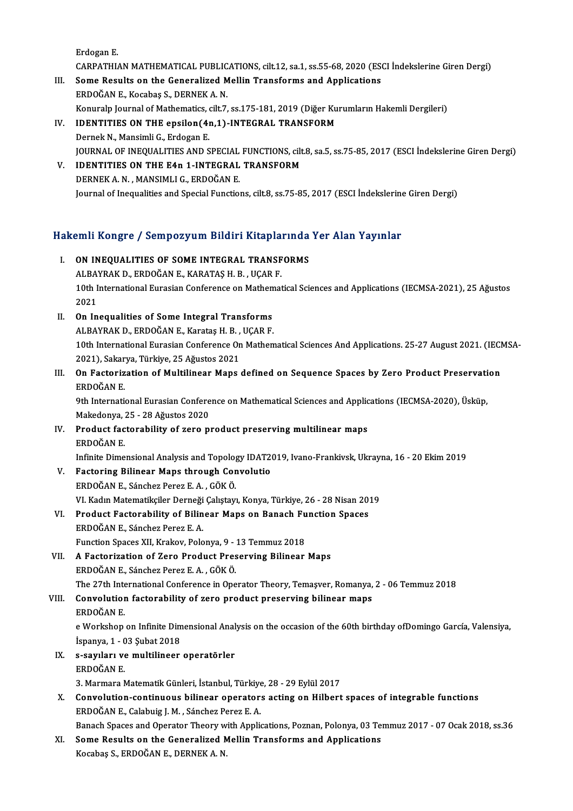ErdoganE.

Erdogan E.<br>CARPATHIAN MATHEMATICAL PUBLICATIONS, cilt.12, sa.1, ss.55-68, 2020 (ESCI İndekslerine Giren Dergi)<br>Sama Basulta an the Canaralized Mallin Transforma and Annlisations

- Erdogan E.<br>CARPATHIAN MATHEMATICAL PUBLICATIONS, cilt.12, sa.1, ss.55-68, 2020 (ESGN)<br>III. Some Results on the Generalized Mellin Transforms and Applications<br>FRDOČAN E. Kosphes S. DERNEK A. N CARPATHIAN MATHEMATICAL PUBLIC<br>Some Results on the Generalized M<br>ERDOĞAN E., Kocabaş S., DERNEK A. N. III. Some Results on the Generalized Mellin Transforms and Applications<br>ERDOĞAN E., Kocabaş S., DERNEK A. N.<br>Konuralp Journal of Mathematics, cilt.7, ss.175-181, 2019 (Diğer Kurumların Hakemli Dergileri) ERDOĞAN E., Kocabaş S., DERNEK A. N.<br>Konuralp Journal of Mathematics, cilt.7, ss.175-181, 2019 (Diğer Ku<br>IV. IDENTITIES ON THE epsilon(4n,1)-INTEGRAL TRANSFORM<br>Dernek N. Mansimli G. Erdosan E.
- Konuralp Journal of Mathematics, (<br>IDENTITIES ON THE epsilon (4)<br>Dernek N., Mansimli G., Erdogan E.<br>JOUPNAL OF INFOUALITIES AND S IDENTITIES ON THE epsilon(4n,1)-INTEGRAL TRANSFORM<br>Dernek N., Mansimli G., Erdogan E.<br>JOURNAL OF INEQUALITIES AND SPECIAL FUNCTIONS, cilt.8, sa.5, ss.75-85, 2017 (ESCI İndekslerine Giren Dergi)<br>IDENTITIES ON THE E4n 1 INTE Dernek N., Mansimli G., Erdogan E.<br>JOURNAL OF INEQUALITIES AND SPECIAL FUNCTIONS, cilt<br>V. IDENTITIES ON THE E4n 1-INTEGRAL TRANSFORM
- JOURNAL OF INEQUALITIES AND SPECIAL<br>IDENTITIES ON THE E4n 1-INTEGRAL<br>DERNEK A. N. , MANSIMLI G., ERDOĞAN E.<br>Journal of Inequalities and Special Eunction V. IDENTITIES ON THE E4n 1-INTEGRAL TRANSFORM<br>DERNEK A. N., MANSIMLI G., ERDOĞAN E.<br>Journal of Inequalities and Special Functions, cilt.8, ss.75-85, 2017 (ESCI İndekslerine Giren Dergi)

# 1990 yournal of Inequalities and Special Functions, citta, ss. 75-85, 2017 (ESCI Indeksiering<br>Hakemli Kongre / Sempozyum Bildiri Kitaplarında Yer Alan Yayınlar

- akemli Kongre / Sempozyum Bildiri Kitaplarında<br>I. ON INEQUALITIES OF SOME INTEGRAL TRANSFORMS ALBAYRAK D., ERDOĞAN E., KARATAŞH.B. , UÇARF.<br>ALBAYRAK D., ERDOĞAN E., KARATAŞH. B. , UÇAR F.<br>10th International Eurosian Conference on Mathemat 1. ON INEQUALITIES OF SOME INTEGRAL TRANSFORMS<br>ALBAYRAK D., ERDOĞAN E., KARATAŞ H. B. , UÇAR F.<br>10th International Eurasian Conference on Mathematical Sciences and Applications (IECMSA-2021), 25 Ağustos<br>2021 ALBA'<br>10th I<br>2021<br>On In
- II. On Inequalities of Some Integral Transforms 2021<br>On Inequalities of Some Integral Transforms<br>ALBAYRAK D., ERDOĞAN E., Karataş H. B. , UÇAR F.<br>10th International Euresian Conforence On Mather 10th International Eurasian Conference On Mathematical Sciences And Applications. 25-27 August 2021. (IECMSA-<br>2021), Sakarya, Türkiye, 25 Ağustos 2021 ALBAYRAK D., ERDOĞAN E., Karataş H. B. ,<br>10th International Eurasian Conference On<br>2021), Sakarya, Türkiye, 25 Ağustos 2021<br>On Easterization of Multilinear Mans 10th International Eurasian Conference On Mathematical Sciences And Applications. 25-27 August 2021. (IECN 2021), Sakarya, Türkiye, 25 Ağustos 2021<br>III. On Factorization of Multilinear Maps defined on Sequence Spaces by Ze
- 2021), Sakar<br>**On Factoriz**<br>ERDOĞAN E.<br><sup>Oth Internati</sup> 0n Factorization of Multilinear Maps defined on Sequence Spaces by Zero Product Preservati<br>ERDOĞAN E.<br>9th International Eurasian Conference on Mathematical Sciences and Applications (IECMSA-2020), Üsküp,<br>Makedonya 25 - 28

ERDOĞAN E.<br>9th International Eurasian Confere<br>Makedonya, 25 - 28 Ağustos 2020<br>Produat factorability of 5020 P 9th International Eurasian Conference on Mathematical Sciences and Applic<br>Makedonya, 25 - 28 Ağustos 2020<br>IV. Product factorability of zero product preserving multilinear maps<br>FRDOČAN E

- Makedonya, 25 28 Ağustos 2020<br>IV. Product factorability of zero product preserving multilinear maps<br>ERDOĞAN E. Product factorability of zero product preserving multilinear maps<br>ERDOĞAN E.<br>Infinite Dimensional Analysis and Topology IDAT2019, Ivano-Frankivsk, Ukrayna, 16 - 20 Ekim 2019<br>Fectoring Bilinear Mane through Convolutio
- V. Factoring Bilinear Maps through Convolutio Infinite Dimensional Analysis and Topolog<br>Factoring Bilinear Maps through Cor<br>ERDOĞAN E., Sánchez Perez E. A. , GÖK Ö.<br>VI. Kodin Matematikeller Derneži Celistavı VI. Kadın Matematikçiler Derneği Çalıştayı, Konya, Türkiye, 26 - 28 Nisan 2019 ERDOĞAN E., Sánchez Perez E. A. , GÖK Ö.<br>VI. Kadın Matematikçiler Derneği Çalıştayı, Konya, Türkiye, 26 - 28 Nisan 2013<br>VI. Product Factorability of Bilinear Maps on Banach Function Spaces
- VI. Kadın Matematikçiler Derneği<br>Product Factorability of Bilin<br>ERDOĞAN E., Sánchez Perez E. A.<br>Funstion Spassa XII. Kualtev, Bala Product Factorability of Bilinear Maps on Banach Fu<br>ERDOĞAN E., Sánchez Perez E. A.<br>Function Spaces XII, Krakov, Polonya, 9 - 13 Temmuz 2018<br>A Fastorization of Zero Product Presenving Bilinear
- ERDOĞAN E., Sánchez Perez E. A.<br>Function Spaces XII, Krakov, Polonya, 9 13 Temmuz 2018<br>VII. A Factorization of Zero Product Preserving Bilinear Maps<br>ERDOĞAN E., Sánchez Perez E. A. , GÖK Ö. Function Spaces XII, Krakov, Polonya, 9 -<br>A Factorization of Zero Product Pres<br>ERDOĞAN E., Sánchez Perez E. A. , GÖK Ö.<br>The 27th International Conference in One ERDOĞAN E., Sánchez Perez E. A. , GÖK Ö.<br>The 27th International Conference in Operator Theory, Temaşver, Romanya,<br>VIII. Convolution factorability of zero product preserving bilinear maps<br>EPDOČAN E
	- The 27th International Conference in Operator Theory, Temaşver, Romanya, 2 06 Temmuz 2018 The 27th Inte<br>Convolution<br>ERDOĞAN E.

Convolution factorability of zero product preserving bilinear maps<br>ERDOĞAN E.<br>e Workshop on Infinite Dimensional Analysis on the occasion of the 60th birthday ofDomingo García, Valensiya, ERDOĞAN E.<br>e Workshop on Infinite Dim<br>İspanya, 1 - 03 Şubat 2018<br>s. sevyları ve multilineer  $ispanya, 1 - 03 Subat 2018$ 

- IX. s-sayıları ve multilineer operatörler<br>ERDOĞAN E.
	- 3. Marmara Matematik Günleri, İstanbul, Türkiye, 28 29 Eylül 2017
- ERDOĞAN E.<br>3. Marmara Matematik Günleri, İstanbul, Türkiye, 28 29 Eylül 2017<br>X. Convolution-continuous bilinear operators acting on Hilbert spaces of integrable functions<br>ERDOĞAN E. Calabuiz J. M. Sánchez Porez E. A 3. Marmara Matematik Günleri, İstanbul, Türkiye<br>Convolution-continuous bilinear operator:<br>ERDOĞAN E., Calabuig J. M. , Sánchez Perez E. A.<br>Panash Spesse and Operator Theory with Appli BRDOĞAN E., Calabuig J. M. , Sánchez Perez E. A.<br>Banach Spaces and Operator Theory with Applications, Poznan, Polonya, 03 Temmuz 2017 - 07 Ocak 2018, ss.36
- ERDOĞAN E., Calabuig J. M. , Sánchez Perez E. A.<br>Banach Spaces and Operator Theory with Applications, Poznan, Polonya, 03 Te:<br>XI. Some Results on the Generalized Mellin Transforms and Applications<br>Kesshes S. EPDOČAN E. DEP Banach Spaces and Operator Theory w<br><mark>Some Results on the Generalized M</mark><br>Kocabaş S., ERDOĞAN E., DERNEK A. N.